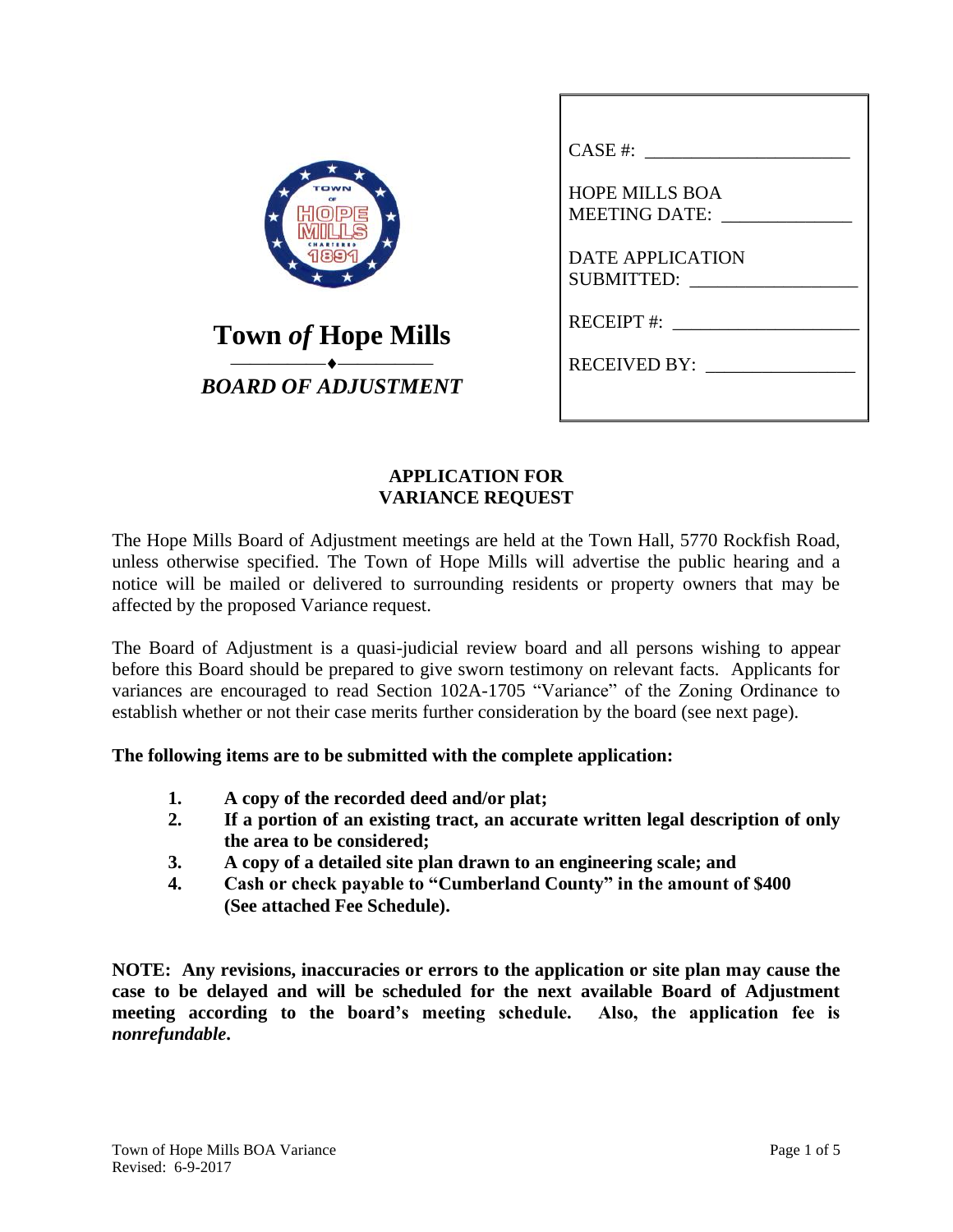| <b>Town of Hope Mills</b><br>BOARD OF ADJUSTMENT |
|--------------------------------------------------|

| CASE #:                                      |
|----------------------------------------------|
| <b>HOPE MILLS BOA</b><br>MEETING DATE:       |
| <b>DATE APPLICATION</b><br><b>SUBMITTED:</b> |
| $RECEIPT$ #:                                 |
| RECEIVED BY:                                 |
|                                              |

### **APPLICATION FOR VARIANCE REQUEST**

The Hope Mills Board of Adjustment meetings are held at the Town Hall, 5770 Rockfish Road, unless otherwise specified. The Town of Hope Mills will advertise the public hearing and a notice will be mailed or delivered to surrounding residents or property owners that may be affected by the proposed Variance request.

The Board of Adjustment is a quasi-judicial review board and all persons wishing to appear before this Board should be prepared to give sworn testimony on relevant facts. Applicants for variances are encouraged to read Section 102A-1705 "Variance" of the Zoning Ordinance to establish whether or not their case merits further consideration by the board (see next page).

#### **The following items are to be submitted with the complete application:**

- **1. A copy of the recorded deed and/or plat;**
- **2. If a portion of an existing tract, an accurate written legal description of only the area to be considered;**
- **3. A copy of a detailed site plan drawn to an engineering scale; and**
- **4. Cash or check payable to "Cumberland County" in the amount of \$400 (See attached Fee Schedule).**

**NOTE: Any revisions, inaccuracies or errors to the application or site plan may cause the case to be delayed and will be scheduled for the next available Board of Adjustment meeting according to the board's meeting schedule. Also, the application fee is**  *nonrefundable***.**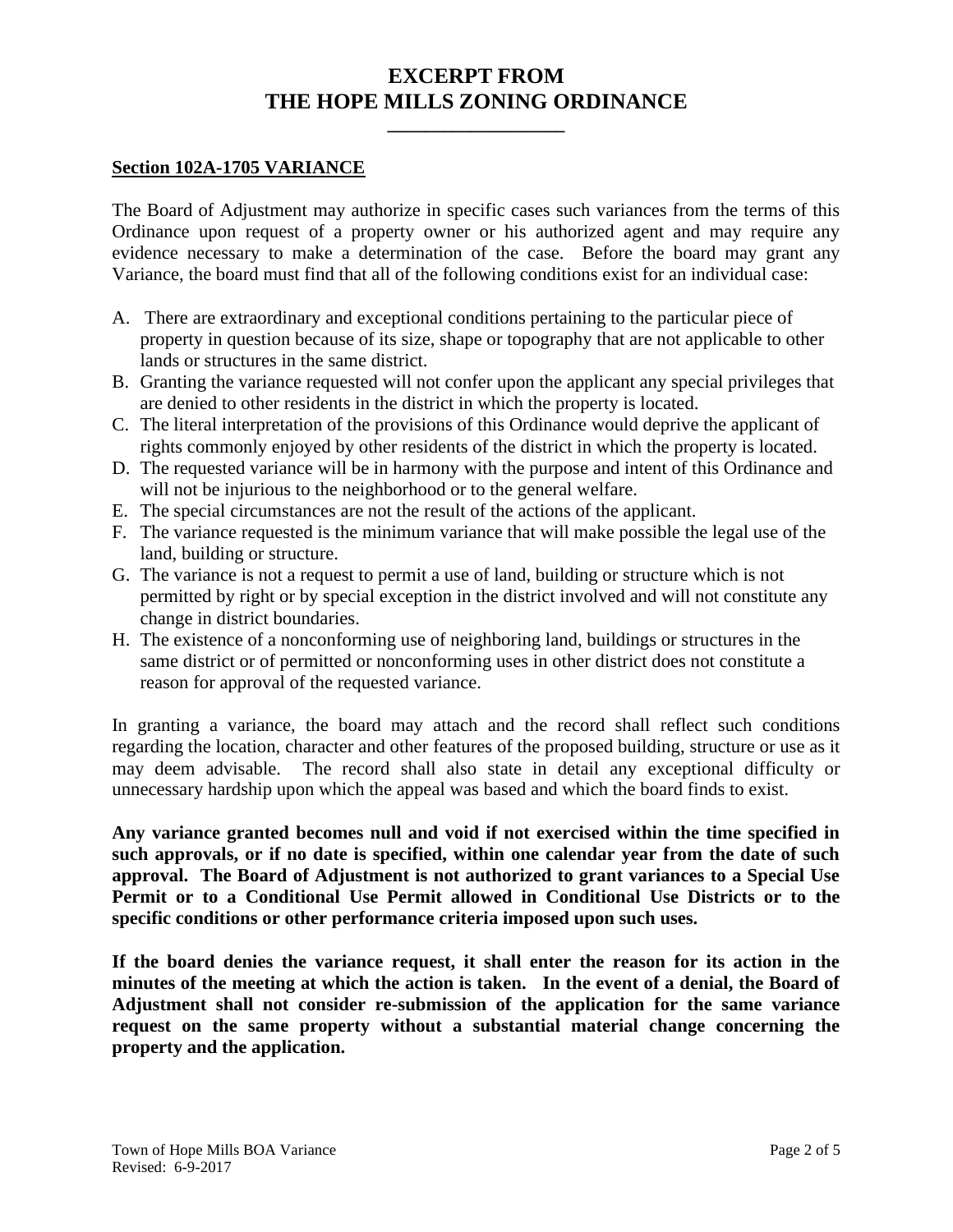## **EXCERPT FROM THE HOPE MILLS ZONING ORDINANCE**

**\_\_\_\_\_\_\_\_\_\_\_\_\_\_\_\_\_\_\_**

#### **Section 102A-1705 VARIANCE**

The Board of Adjustment may authorize in specific cases such variances from the terms of this Ordinance upon request of a property owner or his authorized agent and may require any evidence necessary to make a determination of the case. Before the board may grant any Variance, the board must find that all of the following conditions exist for an individual case:

- A. There are extraordinary and exceptional conditions pertaining to the particular piece of property in question because of its size, shape or topography that are not applicable to other lands or structures in the same district.
- B. Granting the variance requested will not confer upon the applicant any special privileges that are denied to other residents in the district in which the property is located.
- C. The literal interpretation of the provisions of this Ordinance would deprive the applicant of rights commonly enjoyed by other residents of the district in which the property is located.
- D. The requested variance will be in harmony with the purpose and intent of this Ordinance and will not be injurious to the neighborhood or to the general welfare.
- E. The special circumstances are not the result of the actions of the applicant.
- F. The variance requested is the minimum variance that will make possible the legal use of the land, building or structure.
- G. The variance is not a request to permit a use of land, building or structure which is not permitted by right or by special exception in the district involved and will not constitute any change in district boundaries.
- H. The existence of a nonconforming use of neighboring land, buildings or structures in the same district or of permitted or nonconforming uses in other district does not constitute a reason for approval of the requested variance.

In granting a variance, the board may attach and the record shall reflect such conditions regarding the location, character and other features of the proposed building, structure or use as it may deem advisable. The record shall also state in detail any exceptional difficulty or unnecessary hardship upon which the appeal was based and which the board finds to exist.

**Any variance granted becomes null and void if not exercised within the time specified in such approvals, or if no date is specified, within one calendar year from the date of such approval. The Board of Adjustment is not authorized to grant variances to a Special Use Permit or to a Conditional Use Permit allowed in Conditional Use Districts or to the specific conditions or other performance criteria imposed upon such uses.** 

**If the board denies the variance request, it shall enter the reason for its action in the minutes of the meeting at which the action is taken. In the event of a denial, the Board of Adjustment shall not consider re-submission of the application for the same variance request on the same property without a substantial material change concerning the property and the application.**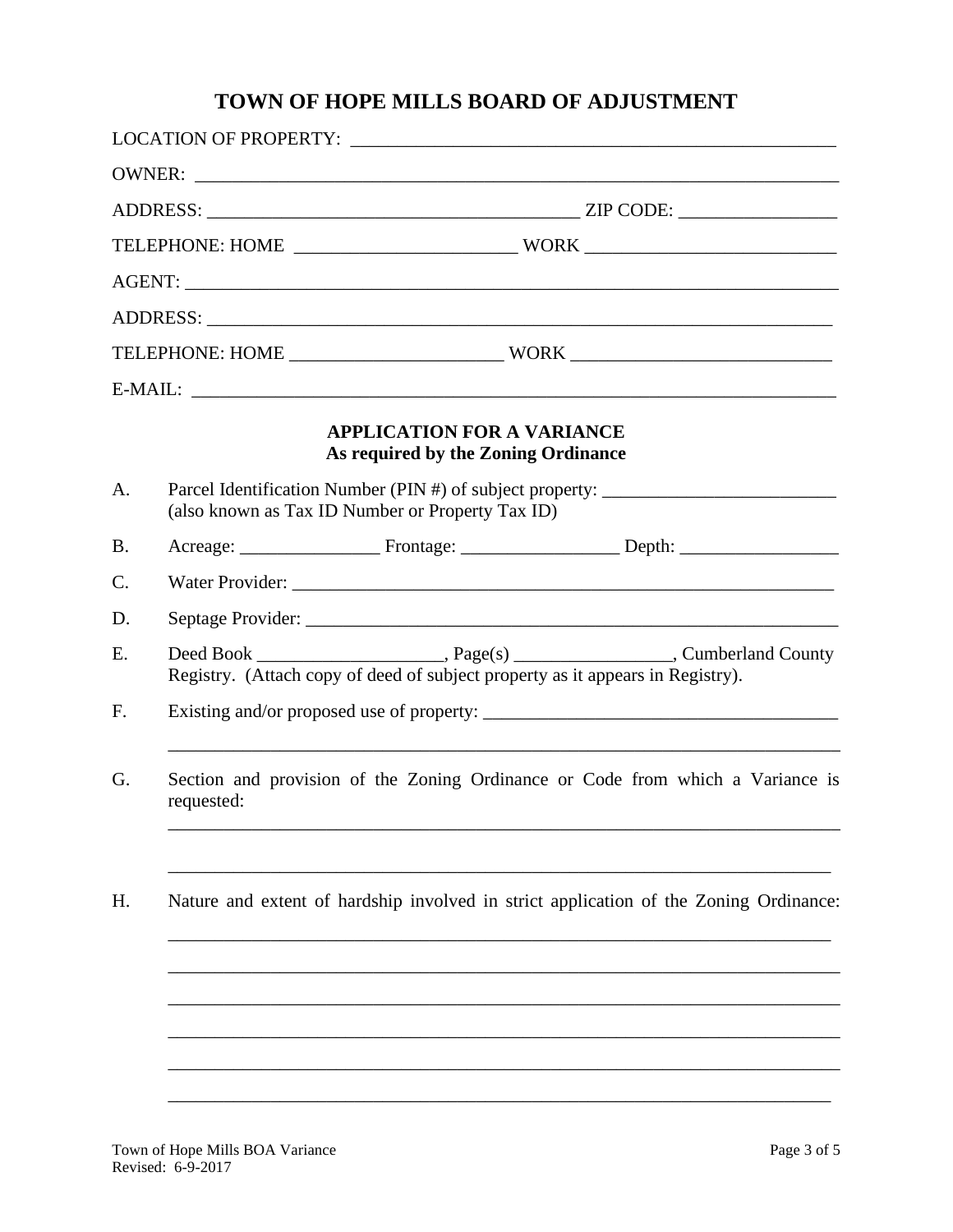# **TOWN OF HOPE MILLS BOARD OF ADJUSTMENT**

|                 |                                                                                                                                      |                                                                                | OWNER:                                                                                |  |
|-----------------|--------------------------------------------------------------------------------------------------------------------------------------|--------------------------------------------------------------------------------|---------------------------------------------------------------------------------------|--|
|                 |                                                                                                                                      |                                                                                |                                                                                       |  |
|                 |                                                                                                                                      |                                                                                |                                                                                       |  |
|                 |                                                                                                                                      |                                                                                |                                                                                       |  |
|                 |                                                                                                                                      |                                                                                |                                                                                       |  |
|                 |                                                                                                                                      |                                                                                |                                                                                       |  |
|                 |                                                                                                                                      |                                                                                |                                                                                       |  |
|                 |                                                                                                                                      | <b>APPLICATION FOR A VARIANCE</b><br>As required by the Zoning Ordinance       |                                                                                       |  |
| A.              | Parcel Identification Number (PIN #) of subject property: ______________________<br>(also known as Tax ID Number or Property Tax ID) |                                                                                |                                                                                       |  |
| <b>B.</b>       |                                                                                                                                      |                                                                                |                                                                                       |  |
| $\mathcal{C}$ . |                                                                                                                                      |                                                                                |                                                                                       |  |
| D.              |                                                                                                                                      |                                                                                |                                                                                       |  |
| E.              |                                                                                                                                      | Registry. (Attach copy of deed of subject property as it appears in Registry). |                                                                                       |  |
| F.              |                                                                                                                                      |                                                                                |                                                                                       |  |
| G.              | Section and provision of the Zoning Ordinance or Code from which a Variance is<br>requested:                                         |                                                                                |                                                                                       |  |
| H.              |                                                                                                                                      |                                                                                | Nature and extent of hardship involved in strict application of the Zoning Ordinance: |  |
|                 |                                                                                                                                      |                                                                                |                                                                                       |  |
|                 |                                                                                                                                      |                                                                                |                                                                                       |  |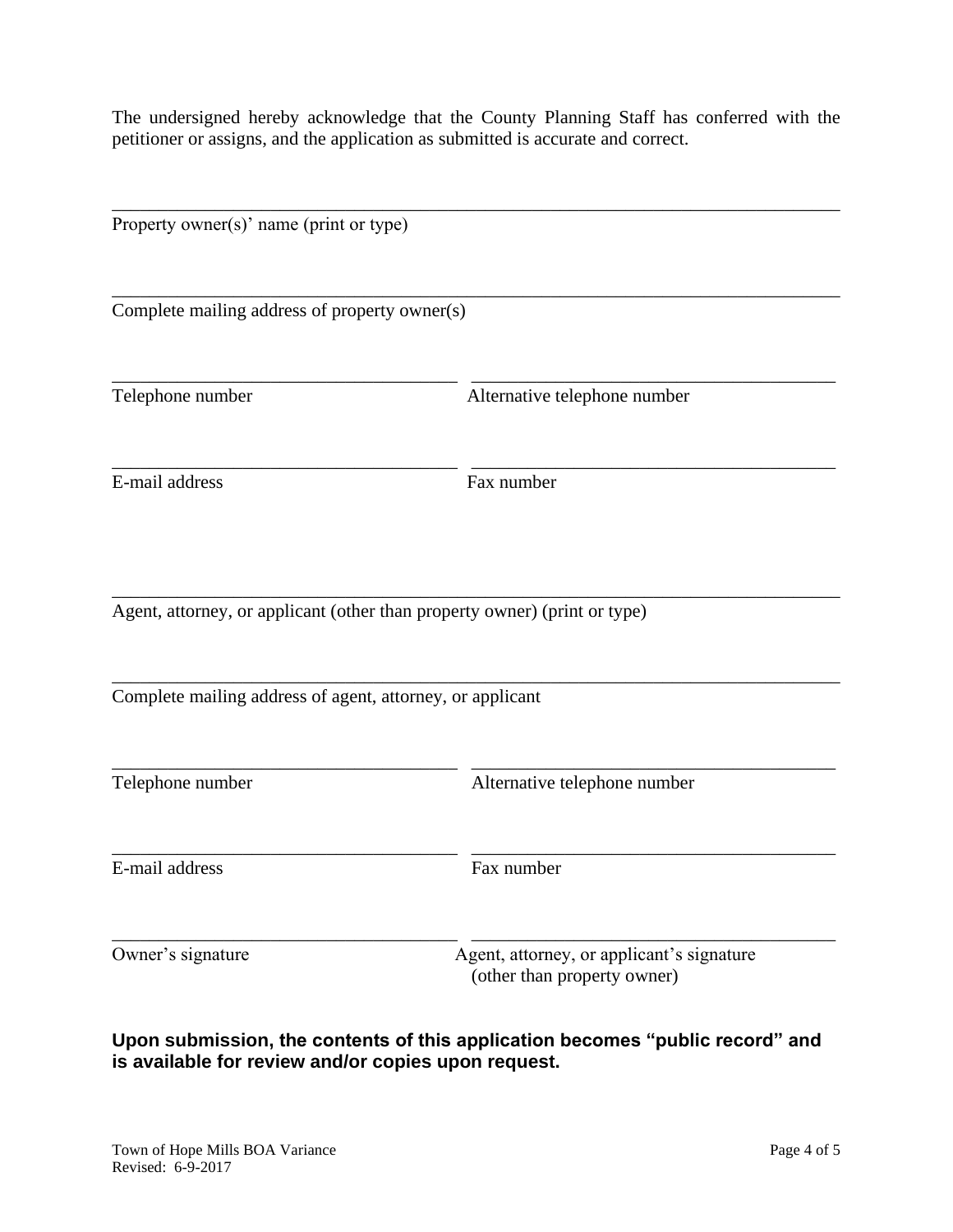The undersigned hereby acknowledge that the County Planning Staff has conferred with the petitioner or assigns, and the application as submitted is accurate and correct.

| Property owner(s)' name (print or type)                   |                                                                           |  |  |  |
|-----------------------------------------------------------|---------------------------------------------------------------------------|--|--|--|
| Complete mailing address of property owner(s)             |                                                                           |  |  |  |
| Telephone number                                          | Alternative telephone number                                              |  |  |  |
| E-mail address                                            | Fax number                                                                |  |  |  |
|                                                           | Agent, attorney, or applicant (other than property owner) (print or type) |  |  |  |
| Complete mailing address of agent, attorney, or applicant |                                                                           |  |  |  |
| Telephone number                                          | Alternative telephone number                                              |  |  |  |
| E-mail address                                            | Fax number                                                                |  |  |  |
| Owner's signature                                         | Agent, attorney, or applicant's signature<br>(other than property owner)  |  |  |  |

**Upon submission, the contents of this application becomes "public record" and is available for review and/or copies upon request.**